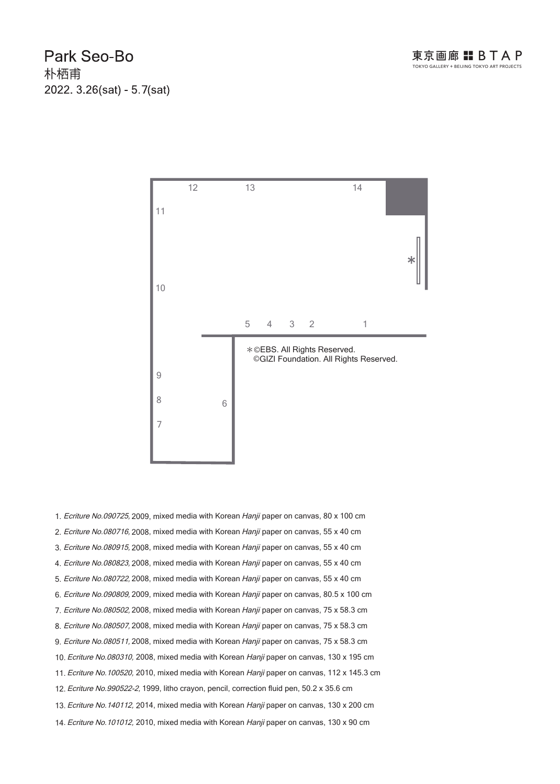Park Seo-Bo 朴栖甫 2022. 3.26(sat) - 5.7(sat)



1. Ecriture No.090725, 2009, mixed media with Korean Hanji paper on canvas, 80 x 100 cm 2. Ecriture No.080716, 2008, mixed media with Korean Hanji paper on canvas, 55 x 40 cm 3. Ecriture No.080915, 2008, mixed media with Korean Hanji paper on canvas, 55 x 40 cm 4. Ecriture No.080823, 2008, mixed media with Korean Hanji paper on canvas, 55 x 40 cm 5. Ecriture No.080722, 2008, mixed media with Korean Hanji paper on canvas, 55 x 40 cm 6. Ecriture No.090809, 2009, mixed media with Korean Hanji paper on canvas, 80.5 x 100 cm 7. Ecriture No.080502, 2008, mixed media with Korean Hanji paper on canvas, 75 x 58.3 cm 8. Ecriture No.080507, 2008, mixed media with Korean Hanji paper on canvas, 75 x 58.3 cm 9. Ecriture No.080511, 2008, mixed media with Korean Hanji paper on canvas, 75 x 58.3 cm 10. Ecriture No.080310, 2008, mixed media with Korean Hanji paper on canvas, 130 x 195 cm 11. Ecriture No. 100520, 2010, mixed media with Korean Hanji paper on canvas, 112 x 145.3 cm 13. Ecriture No. 140112, 2014, mixed media with Korean Hanji paper on canvas, 130 x 200 cm 14. Ecriture No. 101012, 2010, mixed media with Korean Hanji paper on canvas, 130 x 90 cm 12. Ecriture No.990522-2, 1999, litho crayon, pencil, correction fluid pen, 50.2 x 35.6 cm